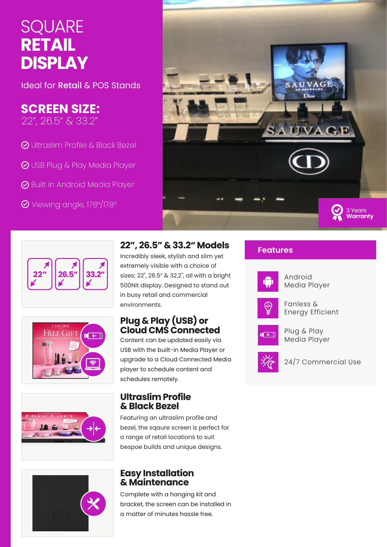# **SQUARE RETAIL DISPLAY**

Ideal for Retail & POS Stands

## **SCREEN SIZE:**

22", 26.5" & 33.2"

- **⊙** Ultraslim Profile & Black Bezel
- USB Plug & Play Media Player
- **◆** Built in Android Media Player
- Viewing angle, 178°/178°







### **22", 26.5" & 33.2" Models**

Incredibly sleek, stylish and slim yet extremely visible with a choice of sizes; 22", 26.5" & 32.2", all with a bright 500Nit display. Designed to stand out in busy retail and commercial environments.

### **Plug & Play (USB) or Cloud CMS Connected**

Content can be updated easily via USB with the built-in Media Player or upgrade to a Cloud Connected Media player to schedule content and schedules remotely.

#### **Ultraslim Profile & Black Bezel**

Featuring an ultraslim profile and bezel, the sqaure screen is perfect for a range of retail locations to suit bespoe builds and unique designs.

#### **Easy Installation & Maintenance**

Complete with a hanging kit and bracket, the screen can be installed in a matter of minutes hassle free.

#### **Features**



Android Media Player



Fanless & Energy Efficient



Plug & Play Media Player



24/7 Commercial Use